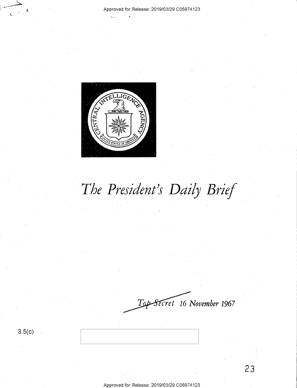

# *The President's Daily Brief*

*-ecret* **16** *November* **1967**   $T\!\varphi\!\!\!\!\!/\,\,$ 

**3.5(c)**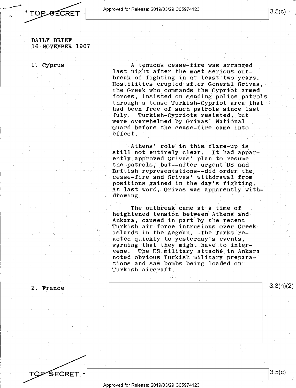*i,* ~--A-p-pr\_o\_ve\_d\_f\_o\_rR\_e\_le\_a\_s\_e:\_2\_0\_1\_9/\_0\_3/\_2\_9\_C\_05\_9\_7\_4\_12\_3 \_\_\_\_\_\_\_\_\_\_ ~13.5(c)

DAILY BRIEF 16 NOVEMBER 1967

1. Cyprus

A tenuous cease-fire was arranged last night after the most serious outbreak of fighting in at least two years. Hostilities erupted after General Grivas, the Greek who commands the Cypriot armed forces, insisted on sending police patrols. through a tense Turkish-Cypriot area that had been free of such patrols since last July. Turkish-Cypriots resisted, but were overwhelmed by Grivas' National Guard before the cease-fire came into effect.

Athens' role in this flare-up is still not entirely clear. It had apparently approved Grivas' plan to resume the patrols, but--after urgent US and British representations--did order the . cease-fire and Grivas' withdrawal from positions gained in the day's fighting. At last word, Grivas was apparently withdrawing.

The outbreak came at a time of heightened tension between Athens and Ankara, caused in part by the recent Turkish air·force intrusions over Greek islands in the Aegean. The Turks reacted quickly to yesterday's events, warning that they might have to intervene. The US military attaché in Ankara noted obvious Turkish military preparations and saw bombs being loaded on Turkish aircraft.

2. France

TQP

3.5(c)

3.3(h)(2)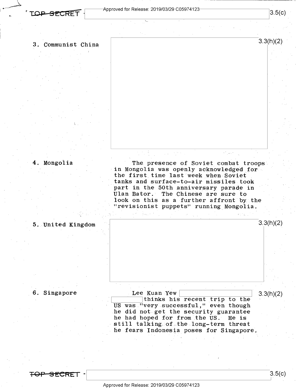<sup>~</sup>**,:op s E'.CRET** <sup>1</sup>

' \

# , \_ \_\_\_\_\_\_\_,. - j~--Approved for Release: 2019/03/29 C05974123-----------,I L\_ \_\_\_\_\_\_\_\_\_\_\_\_\_\_\_\_\_ ~3.5(c)

3.3(h)(2)

#### 3. Communist China

#### 4. Mongolia

The presence of Soviet combat troops in Mongolia was openly acknowledged for the first time last week when Soviet tanks and surface-to-air missiles took part in the 50th anniversary parade in Ulan Bator. The Chinese are sure to look on this as a further affront by the "revisionist puppets" running Mongolia.



#### 6. Singapore

5. United Kingdom

Lee Kuan Yew **water (Edsternal)** 3.3(h)(2) thinks his recent trip to the US was "very successful," even though he did not get the security guarantee he had hoped for from the US. He is ne had noped for from the US. He is<br>still talking of the long-term threat he fears Indonesia poses for Singapore,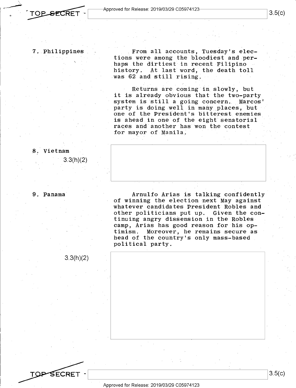#### 7. Philippines

From all accounts, Tuesday's elections were among the bloodiest and perhaps the dirtiest in recent Filipino history. At last word, the death toll was 62 and still rising.

Returns are coming in slowly, but it is already obvious that the two~party system is still a going concern. Marcos' party is doing well in many places, but one of the President's bitterest enemies is ahead in one of the eight senatorial races and another has won the contest for mayor of Manila.



9. Panama

8. Vietnam

Arnulfo Arias is talking confidently of winning the election next May against whatever candidates President Robles and other politicians put up. Given the continuing angry dissension in the Robles camp, Arias has good reason for his optimism. Moreover, he remains secure as head of the country's only mass-based political party.

3.3(h)(2)

3.3(h)(2)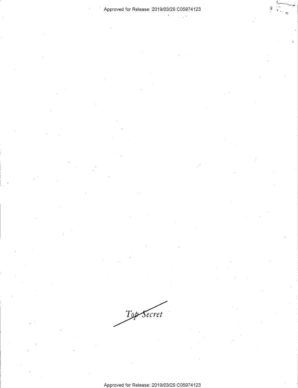#### Approved for Release: 2019/03/29 C0597 4123

 $\frac{\epsilon'}{2\epsilon}$ 

Top Secret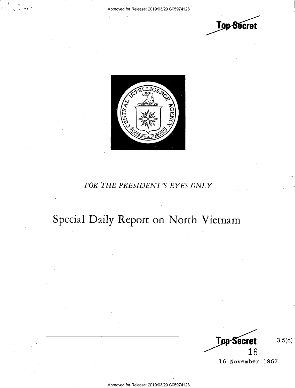



### *FOR THE PRESIDENT'S EYES ONLY*

## **Special Daily Report on North Vietnam**

**Top Secret** 16

3.5(c)

... :

16 November 1967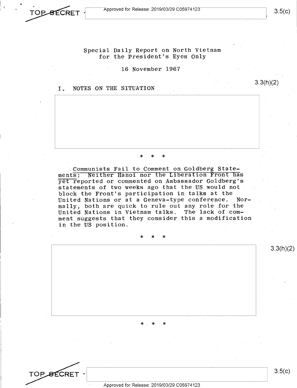

I ,

Special Daily Report on North Vietnam for the President's Eyes Only

16 November 1967

#### I. NOTES ON THE SITUATION

. Communists Fail to Comment on Goldberg Statements: Neither Hanoi nor the Liberation Front has yet reported or commented on Ambassador Goldberg's statements of two weeks ago that the US would not block the Front's participation in talks at the United Nations or at a Geneva-type conference. Normally, both are quick to rule out any role for the United Nations in Vietnam talks. The lack of comment suggests that they consider this a modification in the US position.

\* \* \*

\* \* \*



Approved for Release: 2019/03/29 C0597 4123

\* \* \*

3.3(h)(2)

3.3(h)(2)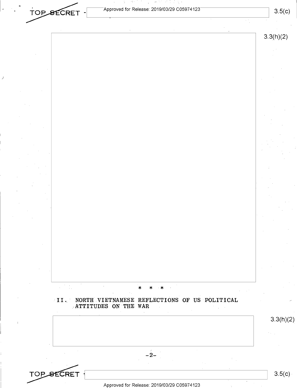$\overline{\text{TOP\_SECTION}}$  -  $\overline{\text{Approved for Release: 2019/03/29 C05974123}}$  3.5(c)

*j* 

sakitat satut.

网络天空 计图

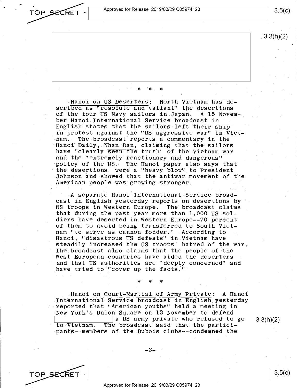Approved for Release: 2019/03/29 C0597 4123

TOP SECRET

TOP SECRET

 $3.5(c)$ 

3.3(h)(2)

.Hanoi on US Deserters: North Vietnam has described as "resolute and valiant" the desertions<br>of the four US Navy sailors in Japan. A 15 Novemof the four US Navy sailors in Japan. ber Hanoi International,Service broadcast in English states that the sailors left their ship in protest against the "US aggressive war" in Vietnam. The broadcast reports a commentary in the Hanoi Daily, Nhan Dan, claiming that the sailors have "clearly seen the truth" of the Vietnam war and the "extremely reactionary and dangerous" policy of the US. The Hanoi paper also says that the desertions were a "heavy blow'' to President .Johnson and showed that the antiwar movement 0£ the American people was growing stronger.

\* \* \*

*A* separate Hanoi'International Service broadcast in English yesterday reports on desertions by US troops in Western Europe. The broadcast claims that during the past year more than 1,000 US soldiers have deserted in Western Europe--70 percent of them to avoid being transferred to South Vietnam "to serve as cannon fodder." According to Hanoi, "disastrous US defeats" in Vietnam have steadily increased the US troops' hatred of the war. The broadcast also claims that the people of the West European countries have aided the deserters and that US authorities are "deeply concerned" and have tried to "cover up the facts."

Hanoi on Court-Martial of Army Private: *A* Hanoi International Service broadcast in English yesterday reported that "American youths" held a meeting in New York's Union Square on 13 November to defend<br>a US army private who refused to go 3.3(h)(2) a US army private who refused to go<br>to Vietnam. The broadcast said that the participants--members of the Dubois clubs--condemned the

\* \* \*

3.5(c)

Approved for Release: 2019/03/29 C0597 4123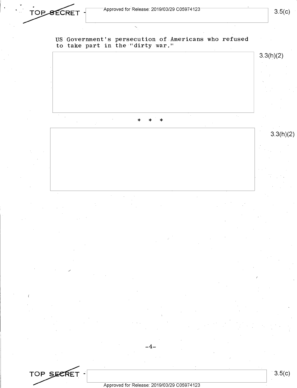\*OP\_SECRET - Approved for Release: 2019/03/29 C05974123 4.5(c)

US Government's persecution of Americans who refused to take part in the "dirty war."



### 3.5(c)

TOP SECRET -<br>Approved for Release: 2019/03/29 C05974123

-4-